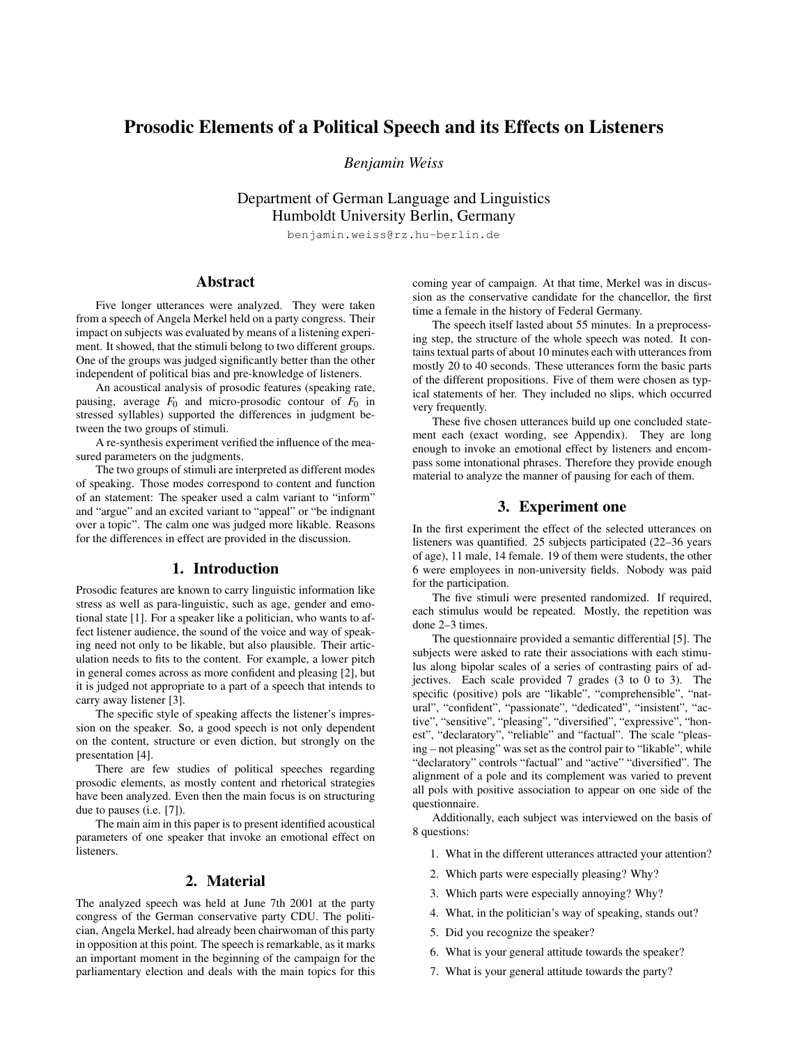# Prosodic Elements of a Political Speech and its Effects on Listeners

*Benjamin Weiss*

Department of German Language and Linguistics Humboldt University Berlin, Germany

benjamin.weiss@rz.hu-berlin.de

## Abstract

Five longer utterances were analyzed. They were taken from a speech of Angela Merkel held on a party congress. Their impact on subjects was evaluated by means of a listening experiment. It showed, that the stimuli belong to two different groups. One of the groups was judged significantly better than the other independent of political bias and pre-knowledge of listeners.

An acoustical analysis of prosodic features (speaking rate, pausing, average  $F_0$  and micro-prosodic contour of  $F_0$  in stressed syllables) supported the differences in judgment between the two groups of stimuli.

A re-synthesis experiment verified the influence of the measured parameters on the judgments.

The two groups of stimuli are interpreted as different modes of speaking. Those modes correspond to content and function of an statement: The speaker used a calm variant to "inform" and "argue" and an excited variant to "appeal" or "be indignant over a topic". The calm one was judged more likable. Reasons for the differences in effect are provided in the discussion.

## 1. Introduction

Prosodic features are known to carry linguistic information like stress as well as para-linguistic, such as age, gender and emotional state [1]. For a speaker like a politician, who wants to affect listener audience, the sound of the voice and way of speaking need not only to be likable, but also plausible. Their articulation needs to fits to the content. For example, a lower pitch in general comes across as more confident and pleasing [2], but it is judged not appropriate to a part of a speech that intends to carry away listener [3].

The specific style of speaking affects the listener's impression on the speaker. So, a good speech is not only dependent on the content, structure or even diction, but strongly on the presentation [4].

There are few studies of political speeches regarding prosodic elements, as mostly content and rhetorical strategies have been analyzed. Even then the main focus is on structuring due to pauses (i.e. [7]).

The main aim in this paper is to present identified acoustical parameters of one speaker that invoke an emotional effect on listeners.

### 2. Material

The analyzed speech was held at June 7th 2001 at the party congress of the German conservative party CDU. The politician, Angela Merkel, had already been chairwoman of this party in opposition at this point. The speech is remarkable, as it marks an important moment in the beginning of the campaign for the parliamentary election and deals with the main topics for this coming year of campaign. At that time, Merkel was in discussion as the conservative candidate for the chancellor, the first time a female in the history of Federal Germany.

The speech itself lasted about 55 minutes. In a preprocessing step, the structure of the whole speech was noted. It contains textual parts of about 10 minutes each with utterances from mostly 20 to 40 seconds. These utterances form the basic parts of the different propositions. Five of them were chosen as typical statements of her. They included no slips, which occurred very frequently.

These five chosen utterances build up one concluded statement each (exact wording, see Appendix). They are long enough to invoke an emotional effect by listeners and encompass some intonational phrases. Therefore they provide enough material to analyze the manner of pausing for each of them.

## 3. Experiment one

In the first experiment the effect of the selected utterances on listeners was quantified. 25 subjects participated (22–36 years of age), 11 male, 14 female. 19 of them were students, the other 6 were employees in non-university fields. Nobody was paid for the participation.

The five stimuli were presented randomized. If required, each stimulus would be repeated. Mostly, the repetition was done 2–3 times.

The questionnaire provided a semantic differential [5]. The subjects were asked to rate their associations with each stimulus along bipolar scales of a series of contrasting pairs of adjectives. Each scale provided 7 grades (3 to 0 to 3). The specific (positive) pols are "likable", "comprehensible", "natural", "confident", "passionate", "dedicated", "insistent", "active", "sensitive", "pleasing", "diversified", "expressive", "honest", "declaratory", "reliable" and "factual". The scale "pleasing – not pleasing" was set as the control pair to "likable", while "declaratory" controls "factual" and "active" "diversified". The alignment of a pole and its complement was varied to prevent all pols with positive association to appear on one side of the questionnaire.

Additionally, each subject was interviewed on the basis of 8 questions:

- 1. What in the different utterances attracted your attention?
- 2. Which parts were especially pleasing? Why?
- 3. Which parts were especially annoying? Why?
- 4. What, in the politician's way of speaking, stands out?
- 5. Did you recognize the speaker?
- 6. What is your general attitude towards the speaker?
- 7. What is your general attitude towards the party?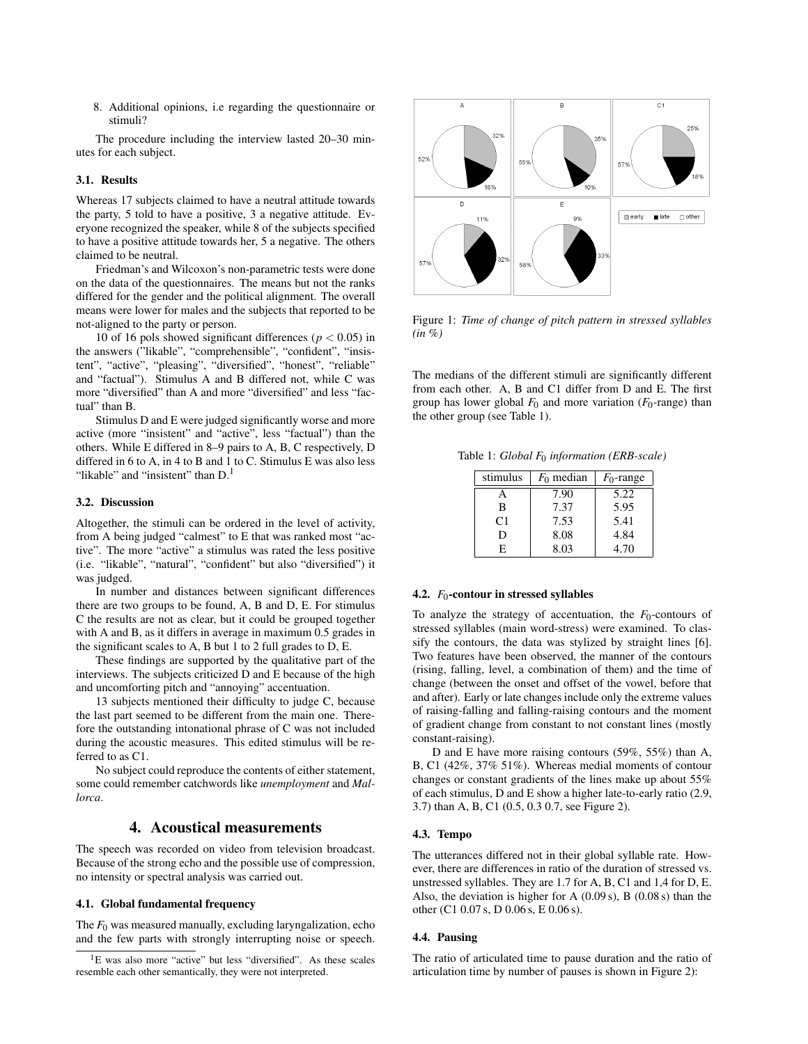8. Additional opinions, i.e regarding the questionnaire or stimuli?

The procedure including the interview lasted 20–30 minutes for each subject.

#### 3.1. Results

Whereas 17 subjects claimed to have a neutral attitude towards the party, 5 told to have a positive, 3 a negative attitude. Everyone recognized the speaker, while 8 of the subjects specified to have a positive attitude towards her, 5 a negative. The others claimed to be neutral.

Friedman's and Wilcoxon's non-parametric tests were done on the data of the questionnaires. The means but not the ranks differed for the gender and the political alignment. The overall means were lower for males and the subjects that reported to be not-aligned to the party or person.

10 of 16 pols showed significant differences ( $p < 0.05$ ) in the answers ("likable", "comprehensible", "confident", "insistent", "active", "pleasing", "diversified", "honest", "reliable" and "factual"). Stimulus A and B differed not, while C was more "diversified" than A and more "diversified" and less "factual" than B.

Stimulus D and E were judged significantly worse and more active (more "insistent" and "active", less "factual") than the others. While E differed in 8–9 pairs to A, B, C respectively, D differed in 6 to A, in 4 to B and 1 to C. Stimulus E was also less "likable" and "insistent" than  $D<sup>1</sup>$ 

### 3.2. Discussion

Altogether, the stimuli can be ordered in the level of activity, from A being judged "calmest" to E that was ranked most "active". The more "active" a stimulus was rated the less positive (i.e. "likable", "natural", "confident" but also "diversified") it was judged.

In number and distances between significant differences there are two groups to be found, A, B and D, E. For stimulus C the results are not as clear, but it could be grouped together with A and B, as it differs in average in maximum 0.5 grades in the significant scales to A, B but 1 to 2 full grades to D, E.

These findings are supported by the qualitative part of the interviews. The subjects criticized D and E because of the high and uncomforting pitch and "annoying" accentuation.

13 subjects mentioned their difficulty to judge C, because the last part seemed to be different from the main one. Therefore the outstanding intonational phrase of C was not included during the acoustic measures. This edited stimulus will be referred to as C1.

No subject could reproduce the contents of either statement, some could remember catchwords like *unemployment* and *Mallorca*.

## 4. Acoustical measurements

The speech was recorded on video from television broadcast. Because of the strong echo and the possible use of compression, no intensity or spectral analysis was carried out.

#### 4.1. Global fundamental frequency

The  $F_0$  was measured manually, excluding laryngalization, echo and the few parts with strongly interrupting noise or speech.



Figure 1: *Time of change of pitch pattern in stressed syllables (in %)*

The medians of the different stimuli are significantly different from each other. A, B and C1 differ from D and E. The first group has lower global  $F_0$  and more variation ( $F_0$ -range) than the other group (see Table 1).

Table 1: *Global F*<sup>0</sup> *information (ERB-scale)*

| stimulus | $F_0$ median | $F_0$ -range |
|----------|--------------|--------------|
| А        | 7.90         | 5.22         |
| в        | 7.37         | 5.95         |
| C1       | 7.53         | 5.41         |
| D        | 8.08         | 4.84         |
| F.       | 8.03         | 4.70         |

#### 4.2.  $F_0$ -contour in stressed syllables

To analyze the strategy of accentuation, the *F*<sub>0</sub>-contours of stressed syllables (main word-stress) were examined. To classify the contours, the data was stylized by straight lines [6]. Two features have been observed, the manner of the contours (rising, falling, level, a combination of them) and the time of change (between the onset and offset of the vowel, before that and after). Early or late changes include only the extreme values of raising-falling and falling-raising contours and the moment of gradient change from constant to not constant lines (mostly constant-raising).

D and E have more raising contours (59%, 55%) than A, B, C1 (42%, 37% 51%). Whereas medial moments of contour changes or constant gradients of the lines make up about 55% of each stimulus, D and E show a higher late-to-early ratio (2.9, 3.7) than A, B, C1 (0.5, 0.3 0.7, see Figure 2).

#### 4.3. Tempo

The utterances differed not in their global syllable rate. However, there are differences in ratio of the duration of stressed vs. unstressed syllables. They are 1.7 for A, B, C1 and 1,4 for D, E. Also, the deviation is higher for A (0.09 s), B (0.08 s) than the other (C1 0.07 s, D 0.06 s, E 0.06 s).

#### 4.4. Pausing

The ratio of articulated time to pause duration and the ratio of articulation time by number of pauses is shown in Figure 2):

 ${}^{1}E$  was also more "active" but less "diversified". As these scales resemble each other semantically, they were not interpreted.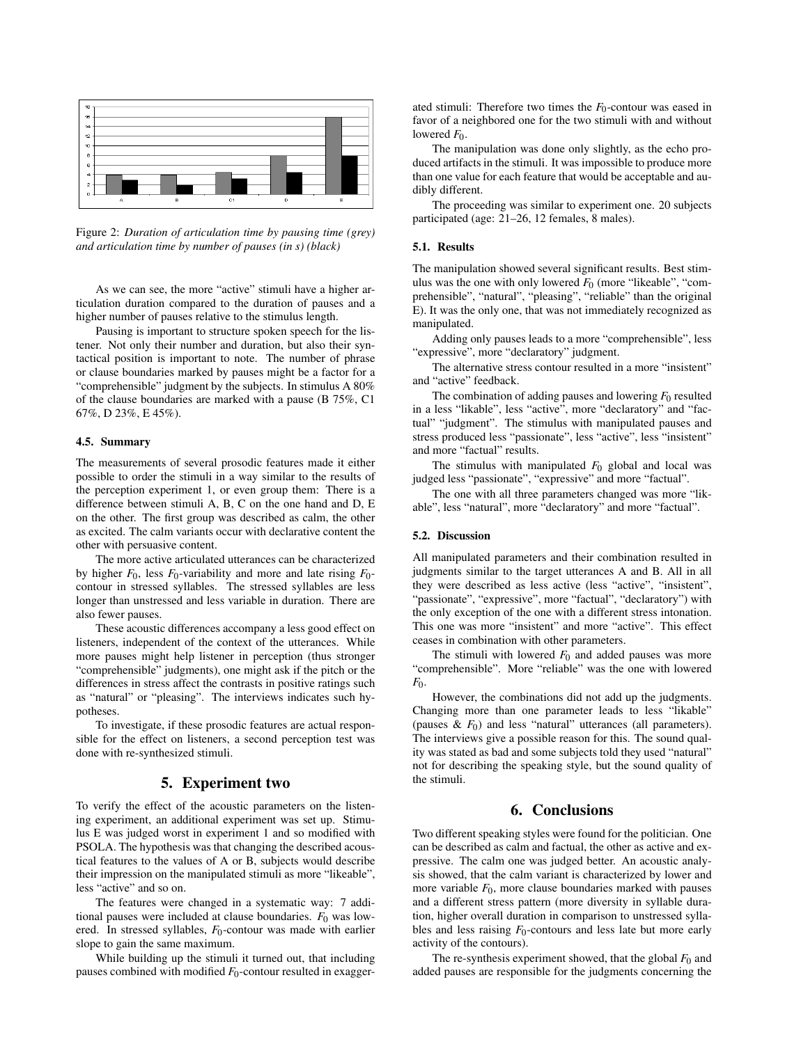

Figure 2: *Duration of articulation time by pausing time (grey) and articulation time by number of pauses (in s) (black)*

As we can see, the more "active" stimuli have a higher articulation duration compared to the duration of pauses and a higher number of pauses relative to the stimulus length.

Pausing is important to structure spoken speech for the listener. Not only their number and duration, but also their syntactical position is important to note. The number of phrase or clause boundaries marked by pauses might be a factor for a "comprehensible" judgment by the subjects. In stimulus A 80% of the clause boundaries are marked with a pause (B 75%, C1 67%, D 23%, E 45%).

#### 4.5. Summary

The measurements of several prosodic features made it either possible to order the stimuli in a way similar to the results of the perception experiment 1, or even group them: There is a difference between stimuli A, B, C on the one hand and D, E on the other. The first group was described as calm, the other as excited. The calm variants occur with declarative content the other with persuasive content.

The more active articulated utterances can be characterized by higher  $F_0$ , less  $F_0$ -variability and more and late rising  $F_0$ contour in stressed syllables. The stressed syllables are less longer than unstressed and less variable in duration. There are also fewer pauses.

These acoustic differences accompany a less good effect on listeners, independent of the context of the utterances. While more pauses might help listener in perception (thus stronger "comprehensible" judgments), one might ask if the pitch or the differences in stress affect the contrasts in positive ratings such as "natural" or "pleasing". The interviews indicates such hypotheses.

To investigate, if these prosodic features are actual responsible for the effect on listeners, a second perception test was done with re-synthesized stimuli.

## 5. Experiment two

To verify the effect of the acoustic parameters on the listening experiment, an additional experiment was set up. Stimulus E was judged worst in experiment 1 and so modified with PSOLA. The hypothesis was that changing the described acoustical features to the values of A or B, subjects would describe their impression on the manipulated stimuli as more "likeable", less "active" and so on.

The features were changed in a systematic way: 7 additional pauses were included at clause boundaries.  $F_0$  was lowered. In stressed syllables, *F*<sub>0</sub>-contour was made with earlier slope to gain the same maximum.

While building up the stimuli it turned out, that including pauses combined with modified *F*0-contour resulted in exaggerated stimuli: Therefore two times the  $F_0$ -contour was eased in favor of a neighbored one for the two stimuli with and without lowered  $F_0$ .

The manipulation was done only slightly, as the echo produced artifacts in the stimuli. It was impossible to produce more than one value for each feature that would be acceptable and audibly different.

The proceeding was similar to experiment one. 20 subjects participated (age: 21–26, 12 females, 8 males).

#### 5.1. Results

The manipulation showed several significant results. Best stimulus was the one with only lowered  $F_0$  (more "likeable", "comprehensible", "natural", "pleasing", "reliable" than the original E). It was the only one, that was not immediately recognized as manipulated.

Adding only pauses leads to a more "comprehensible", less "expressive", more "declaratory" judgment.

The alternative stress contour resulted in a more "insistent" and "active" feedback.

The combination of adding pauses and lowering  $F_0$  resulted in a less "likable", less "active", more "declaratory" and "factual" "judgment". The stimulus with manipulated pauses and stress produced less "passionate", less "active", less "insistent" and more "factual" results.

The stimulus with manipulated  $F_0$  global and local was judged less "passionate", "expressive" and more "factual".

The one with all three parameters changed was more "likable", less "natural", more "declaratory" and more "factual".

#### 5.2. Discussion

All manipulated parameters and their combination resulted in judgments similar to the target utterances A and B. All in all they were described as less active (less "active", "insistent", "passionate", "expressive", more "factual", "declaratory") with the only exception of the one with a different stress intonation. This one was more "insistent" and more "active". This effect ceases in combination with other parameters.

The stimuli with lowered  $F_0$  and added pauses was more "comprehensible". More "reliable" was the one with lowered *F*0.

However, the combinations did not add up the judgments. Changing more than one parameter leads to less "likable" (pauses  $\& E_0$ ) and less "natural" utterances (all parameters). The interviews give a possible reason for this. The sound quality was stated as bad and some subjects told they used "natural" not for describing the speaking style, but the sound quality of the stimuli.

## 6. Conclusions

Two different speaking styles were found for the politician. One can be described as calm and factual, the other as active and expressive. The calm one was judged better. An acoustic analysis showed, that the calm variant is characterized by lower and more variable  $F_0$ , more clause boundaries marked with pauses and a different stress pattern (more diversity in syllable duration, higher overall duration in comparison to unstressed syllables and less raising  $F_0$ -contours and less late but more early activity of the contours).

The re-synthesis experiment showed, that the global  $F_0$  and added pauses are responsible for the judgments concerning the